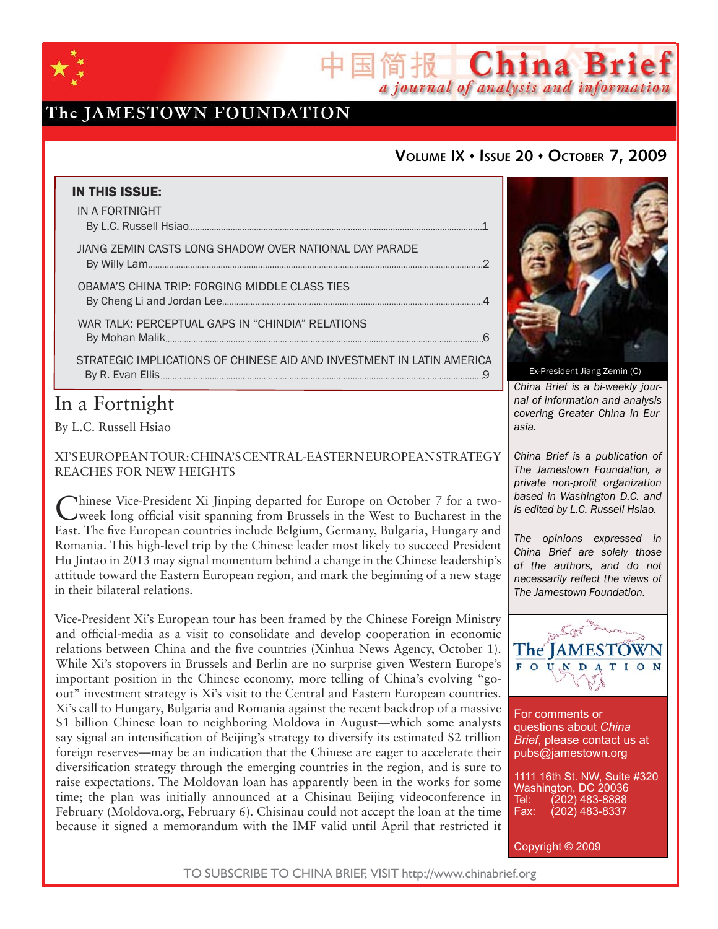

# The JAMESTOWN FOUNDATION

## **VOLUME IX ISSUE 20 OCTOBER 7, 2009**

简报 China Brief

a journal of analysis and information

| <b>IN THIS ISSUE:</b>                                                 |  |
|-----------------------------------------------------------------------|--|
| IN A FORTNIGHT                                                        |  |
| JIANG ZEMIN CASTS LONG SHADOW OVER NATIONAL DAY PARADE                |  |
| OBAMA'S CHINA TRIP: FORGING MIDDLE CLASS TIES                         |  |
| WAR TALK: PERCEPTUAL GAPS IN "CHINDIA" RELATIONS                      |  |
| STRATEGIC IMPLICATIONS OF CHINESE AID AND INVESTMENT IN LATIN AMERICA |  |
|                                                                       |  |

# In a Fortnight

By L.C. Russell Hsiao

XI'S EUROPEAN TOUR: CHINA'S CENTRAL-EASTERN EUROPEAN STRATEGY REACHES FOR NEW HEIGHTS

Chinese Vice-President Xi Jinping departed for Europe on October 7 for a two-week long official visit spanning from Brussels in the West to Bucharest in the East. The five European countries include Belgium, Germany, Bulgaria, Hungary and Romania. This high-level trip by the Chinese leader most likely to succeed President Hu Jintao in 2013 may signal momentum behind a change in the Chinese leadership's attitude toward the Eastern European region, and mark the beginning of a new stage in their bilateral relations.

Vice-President Xi's European tour has been framed by the Chinese Foreign Ministry and official-media as a visit to consolidate and develop cooperation in economic relations between China and the five countries (Xinhua News Agency, October 1). While Xi's stopovers in Brussels and Berlin are no surprise given Western Europe's important position in the Chinese economy, more telling of China's evolving "goout" investment strategy is Xi's visit to the Central and Eastern European countries. Xi's call to Hungary, Bulgaria and Romania against the recent backdrop of a massive \$1 billion Chinese loan to neighboring Moldova in August—which some analysts say signal an intensification of Beijing's strategy to diversify its estimated \$2 trillion foreign reserves—may be an indication that the Chinese are eager to accelerate their diversification strategy through the emerging countries in the region, and is sure to raise expectations. The Moldovan loan has apparently been in the works for some time; the plan was initially announced at a Chisinau Beijing videoconference in February (Moldova.org, February 6). Chisinau could not accept the loan at the time because it signed a memorandum with the IMF valid until April that restricted it



*China Brief is a bi-weekly journal of information and analysis covering Greater China in Eurasia.* 

*China Brief is a publication of The Jamestown Foundation, a private non-profit organization based in Washington D.C. and is edited by L.C. Russell Hsiao.*

*The opinions expressed in China Brief are solely those of the authors, and do not necessarily reflect the views of The Jamestown Foundation.*



For comments or questions about *China Brief*, please contact us at pubs@jamestown.org

1111 16th St. NW, Suite #320 Washington, DC 20036<br>Tel: (202) 483-8888 Tel: (202) 483-8888<br>Fax: (202) 483-8337 Fax: (202) 483-8337

Copyright © 2009

TO SUBSCRIBE TO CHINA BRIEF, VISIT http://www.chinabrief.org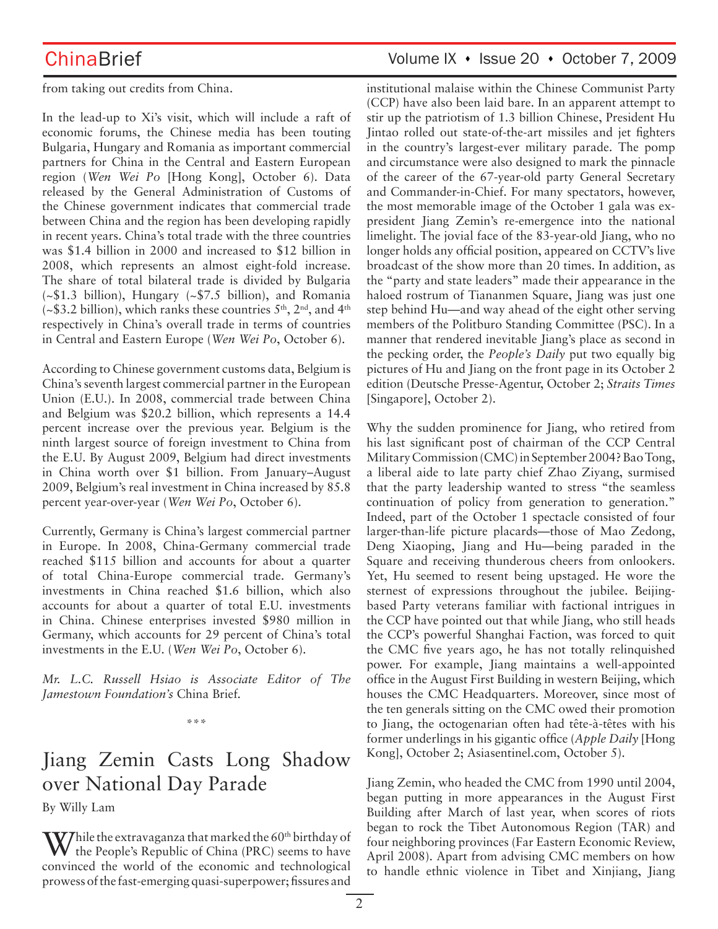from taking out credits from China.

In the lead-up to Xi's visit, which will include a raft of economic forums, the Chinese media has been touting Bulgaria, Hungary and Romania as important commercial partners for China in the Central and Eastern European region (*Wen Wei Po* [Hong Kong], October 6). Data released by the General Administration of Customs of the Chinese government indicates that commercial trade between China and the region has been developing rapidly in recent years. China's total trade with the three countries was \$1.4 billion in 2000 and increased to \$12 billion in 2008, which represents an almost eight-fold increase. The share of total bilateral trade is divided by Bulgaria (~\$1.3 billion), Hungary (~\$7.5 billion), and Romania (~\$3.2 billion), which ranks these countries  $5<sup>th</sup>$ ,  $2<sup>nd</sup>$ , and  $4<sup>th</sup>$ respectively in China's overall trade in terms of countries in Central and Eastern Europe (*Wen Wei Po*, October 6).

According to Chinese government customs data, Belgium is China's seventh largest commercial partner in the European Union (E.U.). In 2008, commercial trade between China and Belgium was \$20.2 billion, which represents a 14.4 percent increase over the previous year. Belgium is the ninth largest source of foreign investment to China from the E.U. By August 2009, Belgium had direct investments in China worth over \$1 billion. From January–August 2009, Belgium's real investment in China increased by 85.8 percent year-over-year (*Wen Wei Po*, October 6).

Currently, Germany is China's largest commercial partner in Europe. In 2008, China-Germany commercial trade reached \$115 billion and accounts for about a quarter of total China-Europe commercial trade. Germany's investments in China reached \$1.6 billion, which also accounts for about a quarter of total E.U. investments in China. Chinese enterprises invested \$980 million in Germany, which accounts for 29 percent of China's total investments in the E.U. (*Wen Wei Po*, October 6).

*Mr. L.C. Russell Hsiao is Associate Editor of The Jamestown Foundation's* China Brief*.*

\*\*\*

# Jiang Zemin Casts Long Shadow over National Day Parade

By Willy Lam

 $\mathbf{W}$ hile the extravaganza that marked the 60th birthday of the People's Republic of China (PRC) seems to have convinced the world of the economic and technological prowess of the fast-emerging quasi-superpower; fissures and institutional malaise within the Chinese Communist Party (CCP) have also been laid bare. In an apparent attempt to stir up the patriotism of 1.3 billion Chinese, President Hu Jintao rolled out state-of-the-art missiles and jet fighters in the country's largest-ever military parade. The pomp and circumstance were also designed to mark the pinnacle of the career of the 67-year-old party General Secretary and Commander-in-Chief. For many spectators, however, the most memorable image of the October 1 gala was expresident Jiang Zemin's re-emergence into the national limelight. The jovial face of the 83-year-old Jiang, who no longer holds any official position, appeared on CCTV's live broadcast of the show more than 20 times. In addition, as the "party and state leaders" made their appearance in the haloed rostrum of Tiananmen Square, Jiang was just one step behind Hu—and way ahead of the eight other serving members of the Politburo Standing Committee (PSC). In a manner that rendered inevitable Jiang's place as second in the pecking order, the *People's Daily* put two equally big pictures of Hu and Jiang on the front page in its October 2 edition (Deutsche Presse-Agentur, October 2; *Straits Times* [Singapore], October 2).

Why the sudden prominence for Jiang, who retired from his last significant post of chairman of the CCP Central Military Commission (CMC) in September 2004? Bao Tong, a liberal aide to late party chief Zhao Ziyang, surmised that the party leadership wanted to stress "the seamless continuation of policy from generation to generation." Indeed, part of the October 1 spectacle consisted of four larger-than-life picture placards—those of Mao Zedong, Deng Xiaoping, Jiang and Hu—being paraded in the Square and receiving thunderous cheers from onlookers. Yet, Hu seemed to resent being upstaged. He wore the sternest of expressions throughout the jubilee. Beijingbased Party veterans familiar with factional intrigues in the CCP have pointed out that while Jiang, who still heads the CCP's powerful Shanghai Faction, was forced to quit the CMC five years ago, he has not totally relinquished power. For example, Jiang maintains a well-appointed office in the August First Building in western Beijing, which houses the CMC Headquarters. Moreover, since most of the ten generals sitting on the CMC owed their promotion to Jiang, the octogenarian often had tête-à-têtes with his former underlings in his gigantic office (*Apple Daily* [Hong Kong], October 2; Asiasentinel.com, October 5).

Jiang Zemin, who headed the CMC from 1990 until 2004, began putting in more appearances in the August First Building after March of last year, when scores of riots began to rock the Tibet Autonomous Region (TAR) and four neighboring provinces (Far Eastern Economic Review, April 2008). Apart from advising CMC members on how to handle ethnic violence in Tibet and Xinjiang, Jiang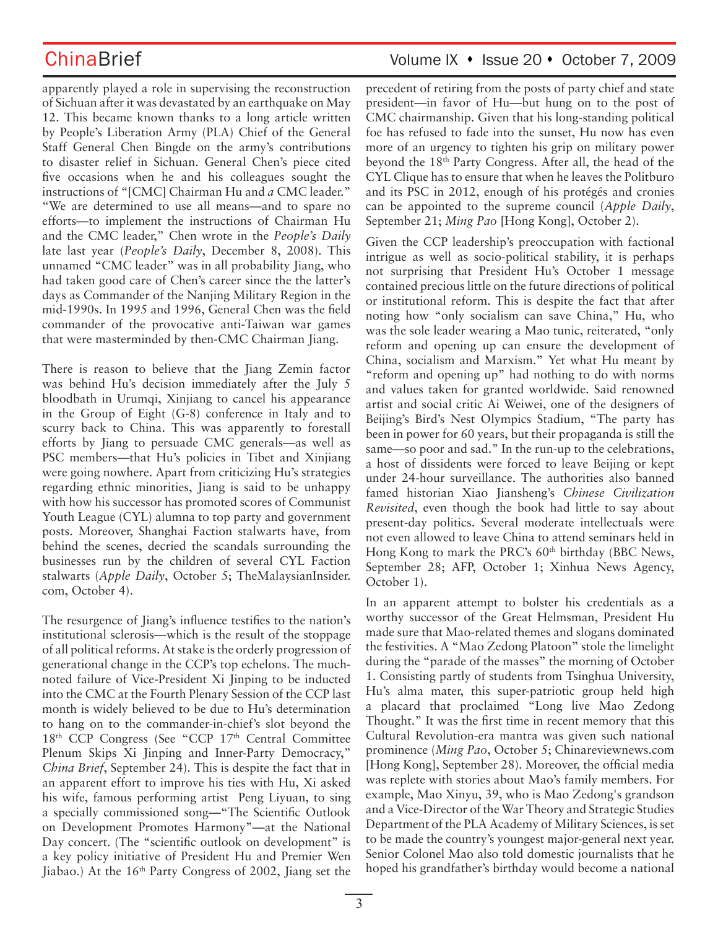ChinaBrief Volume IX • Issue 20 • October 7, 2009

apparently played a role in supervising the reconstruction of Sichuan after it was devastated by an earthquake on May 12. This became known thanks to a long article written by People's Liberation Army (PLA) Chief of the General Staff General Chen Bingde on the army's contributions to disaster relief in Sichuan. General Chen's piece cited five occasions when he and his colleagues sought the instructions of "[CMC] Chairman Hu and *a* CMC leader." "We are determined to use all means—and to spare no efforts—to implement the instructions of Chairman Hu and the CMC leader," Chen wrote in the *People's Daily* late last year (*People's Daily*, December 8, 2008). This unnamed "CMC leader" was in all probability Jiang, who had taken good care of Chen's career since the the latter's days as Commander of the Nanjing Military Region in the mid-1990s. In 1995 and 1996, General Chen was the field commander of the provocative anti-Taiwan war games that were masterminded by then-CMC Chairman Jiang.

There is reason to believe that the Jiang Zemin factor was behind Hu's decision immediately after the July 5 bloodbath in Urumqi, Xinjiang to cancel his appearance in the Group of Eight (G-8) conference in Italy and to scurry back to China. This was apparently to forestall efforts by Jiang to persuade CMC generals—as well as PSC members—that Hu's policies in Tibet and Xinjiang were going nowhere. Apart from criticizing Hu's strategies regarding ethnic minorities, Jiang is said to be unhappy with how his successor has promoted scores of Communist Youth League (CYL) alumna to top party and government posts. Moreover, Shanghai Faction stalwarts have, from behind the scenes, decried the scandals surrounding the businesses run by the children of several CYL Faction stalwarts (*Apple Daily*, October 5; TheMalaysianInsider. com, October 4).

The resurgence of Jiang's influence testifies to the nation's institutional sclerosis—which is the result of the stoppage of all political reforms. At stake is the orderly progression of generational change in the CCP's top echelons. The muchnoted failure of Vice-President Xi Jinping to be inducted into the CMC at the Fourth Plenary Session of the CCP last month is widely believed to be due to Hu's determination to hang on to the commander-in-chief's slot beyond the 18<sup>th</sup> CCP Congress (See "CCP 17<sup>th</sup> Central Committee Plenum Skips Xi Jinping and Inner-Party Democracy," *China Brief*, September 24). This is despite the fact that in an apparent effort to improve his ties with Hu, Xi asked his wife, famous performing artist Peng Liyuan, to sing a specially commissioned song—"The Scientific Outlook on Development Promotes Harmony"—at the National Day concert. (The "scientific outlook on development" is a key policy initiative of President Hu and Premier Wen Jiabao.) At the 16<sup>th</sup> Party Congress of 2002, Jiang set the precedent of retiring from the posts of party chief and state president—in favor of Hu—but hung on to the post of CMC chairmanship. Given that his long-standing political foe has refused to fade into the sunset, Hu now has even more of an urgency to tighten his grip on military power beyond the 18th Party Congress. After all, the head of the CYL Clique has to ensure that when he leaves the Politburo and its PSC in 2012, enough of his protégés and cronies can be appointed to the supreme council (*Apple Daily*, September 21; *Ming Pao* [Hong Kong], October 2).

Given the CCP leadership's preoccupation with factional intrigue as well as socio-political stability, it is perhaps not surprising that President Hu's October 1 message contained precious little on the future directions of political or institutional reform. This is despite the fact that after noting how "only socialism can save China," Hu, who was the sole leader wearing a Mao tunic, reiterated, "only reform and opening up can ensure the development of China, socialism and Marxism." Yet what Hu meant by "reform and opening up" had nothing to do with norms and values taken for granted worldwide. Said renowned artist and social critic Ai Weiwei, one of the designers of Beijing's Bird's Nest Olympics Stadium, "The party has been in power for 60 years, but their propaganda is still the same—so poor and sad." In the run-up to the celebrations, a host of dissidents were forced to leave Beijing or kept under 24-hour surveillance. The authorities also banned famed historian Xiao Jiansheng's *Chinese Civilization Revisited*, even though the book had little to say about present-day politics. Several moderate intellectuals were not even allowed to leave China to attend seminars held in Hong Kong to mark the PRC's 60<sup>th</sup> birthday (BBC News, September 28; AFP, October 1; Xinhua News Agency, October 1).

In an apparent attempt to bolster his credentials as a worthy successor of the Great Helmsman, President Hu made sure that Mao-related themes and slogans dominated the festivities. A "Mao Zedong Platoon" stole the limelight during the "parade of the masses" the morning of October 1. Consisting partly of students from Tsinghua University, Hu's alma mater, this super-patriotic group held high a placard that proclaimed "Long live Mao Zedong Thought." It was the first time in recent memory that this Cultural Revolution-era mantra was given such national prominence (*Ming Pao*, October 5; Chinareviewnews.com [Hong Kong], September 28). Moreover, the official media was replete with stories about Mao's family members. For example, Mao Xinyu, 39, who is Mao Zedong's grandson and a Vice-Director of the War Theory and Strategic Studies Department of the PLA Academy of Military Sciences, is set to be made the country's youngest major-general next year. Senior Colonel Mao also told domestic journalists that he hoped his grandfather's birthday would become a national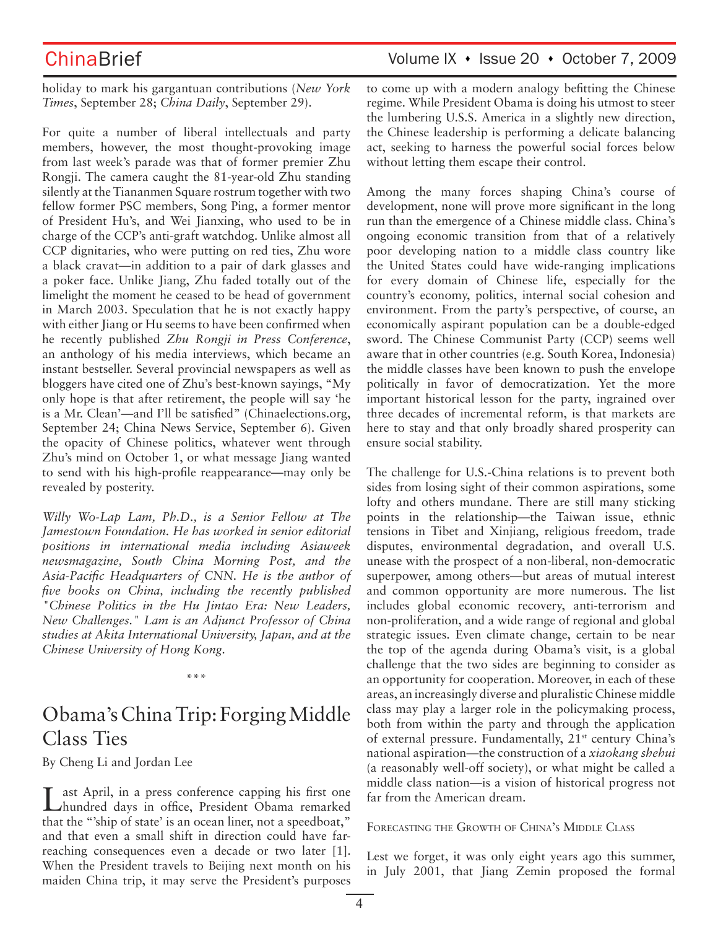holiday to mark his gargantuan contributions (*New York Times*, September 28; *China Daily*, September 29).

For quite a number of liberal intellectuals and party members, however, the most thought-provoking image from last week's parade was that of former premier Zhu Rongji. The camera caught the 81-year-old Zhu standing silently at the Tiananmen Square rostrum together with two fellow former PSC members, Song Ping, a former mentor of President Hu's, and Wei Jianxing, who used to be in charge of the CCP's anti-graft watchdog. Unlike almost all CCP dignitaries, who were putting on red ties, Zhu wore a black cravat—in addition to a pair of dark glasses and a poker face. Unlike Jiang, Zhu faded totally out of the limelight the moment he ceased to be head of government in March 2003. Speculation that he is not exactly happy with either Jiang or Hu seems to have been confirmed when he recently published *Zhu Rongji in Press Conference*, an anthology of his media interviews, which became an instant bestseller. Several provincial newspapers as well as bloggers have cited one of Zhu's best-known sayings, "My only hope is that after retirement, the people will say 'he is a Mr. Clean'—and I'll be satisfied" (Chinaelections.org, September 24; China News Service, September 6). Given the opacity of Chinese politics, whatever went through Zhu's mind on October 1, or what message Jiang wanted to send with his high-profile reappearance—may only be revealed by posterity.

*Willy Wo-Lap Lam, Ph.D., is a Senior Fellow at The Jamestown Foundation. He has worked in senior editorial positions in international media including Asiaweek newsmagazine, South China Morning Post, and the Asia-Pacific Headquarters of CNN. He is the author of five books on China, including the recently published "Chinese Politics in the Hu Jintao Era: New Leaders, New Challenges." Lam is an Adjunct Professor of China studies at Akita International University, Japan, and at the Chinese University of Hong Kong.* 

# Obama's China Trip: Forging Middle Class Ties

\*\*\*

By Cheng Li and Jordan Lee

Last April, in a press conference capping his first one hundred days in office, President Obama remarked that the "'ship of state' is an ocean liner, not a speedboat," and that even a small shift in direction could have farreaching consequences even a decade or two later [1]. When the President travels to Beijing next month on his maiden China trip, it may serve the President's purposes

to come up with a modern analogy befitting the Chinese regime. While President Obama is doing his utmost to steer the lumbering U.S.S. America in a slightly new direction, the Chinese leadership is performing a delicate balancing act, seeking to harness the powerful social forces below without letting them escape their control.

Among the many forces shaping China's course of development, none will prove more significant in the long run than the emergence of a Chinese middle class. China's ongoing economic transition from that of a relatively poor developing nation to a middle class country like the United States could have wide-ranging implications for every domain of Chinese life, especially for the country's economy, politics, internal social cohesion and environment. From the party's perspective, of course, an economically aspirant population can be a double-edged sword. The Chinese Communist Party (CCP) seems well aware that in other countries (e.g. South Korea, Indonesia) the middle classes have been known to push the envelope politically in favor of democratization. Yet the more important historical lesson for the party, ingrained over three decades of incremental reform, is that markets are here to stay and that only broadly shared prosperity can ensure social stability.

The challenge for U.S.-China relations is to prevent both sides from losing sight of their common aspirations, some lofty and others mundane. There are still many sticking points in the relationship—the Taiwan issue, ethnic tensions in Tibet and Xinjiang, religious freedom, trade disputes, environmental degradation, and overall U.S. unease with the prospect of a non-liberal, non-democratic superpower, among others—but areas of mutual interest and common opportunity are more numerous. The list includes global economic recovery, anti-terrorism and non-proliferation, and a wide range of regional and global strategic issues. Even climate change, certain to be near the top of the agenda during Obama's visit, is a global challenge that the two sides are beginning to consider as an opportunity for cooperation. Moreover, in each of these areas, an increasingly diverse and pluralistic Chinese middle class may play a larger role in the policymaking process, both from within the party and through the application of external pressure. Fundamentally, 21<sup>st</sup> century China's national aspiration—the construction of a *xiaokang shehui* (a reasonably well-off society), or what might be called a middle class nation—is a vision of historical progress not far from the American dream.

### FORECASTING THE GROWTH OF CHINA'S MIDDLE CLASS

Lest we forget, it was only eight years ago this summer, in July 2001, that Jiang Zemin proposed the formal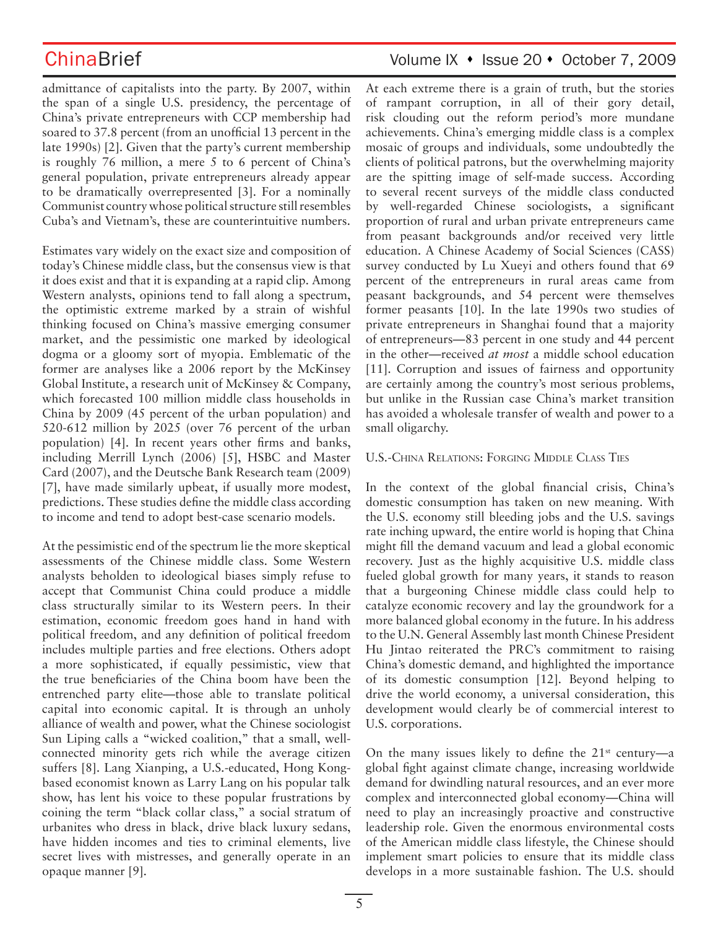admittance of capitalists into the party. By 2007, within the span of a single U.S. presidency, the percentage of China's private entrepreneurs with CCP membership had soared to 37.8 percent (from an unofficial 13 percent in the late 1990s) [2]. Given that the party's current membership is roughly 76 million, a mere 5 to 6 percent of China's general population, private entrepreneurs already appear to be dramatically overrepresented [3]. For a nominally Communist country whose political structure still resembles Cuba's and Vietnam's, these are counterintuitive numbers.

Estimates vary widely on the exact size and composition of today's Chinese middle class, but the consensus view is that it does exist and that it is expanding at a rapid clip. Among Western analysts, opinions tend to fall along a spectrum, the optimistic extreme marked by a strain of wishful thinking focused on China's massive emerging consumer market, and the pessimistic one marked by ideological dogma or a gloomy sort of myopia. Emblematic of the former are analyses like a 2006 report by the McKinsey Global Institute, a research unit of McKinsey & Company, which forecasted 100 million middle class households in China by 2009 (45 percent of the urban population) and 520-612 million by 2025 (over 76 percent of the urban population) [4]. In recent years other firms and banks, including Merrill Lynch (2006) [5], HSBC and Master Card (2007), and the Deutsche Bank Research team (2009) [7], have made similarly upbeat, if usually more modest, predictions. These studies define the middle class according to income and tend to adopt best-case scenario models.

At the pessimistic end of the spectrum lie the more skeptical assessments of the Chinese middle class. Some Western analysts beholden to ideological biases simply refuse to accept that Communist China could produce a middle class structurally similar to its Western peers. In their estimation, economic freedom goes hand in hand with political freedom, and any definition of political freedom includes multiple parties and free elections. Others adopt a more sophisticated, if equally pessimistic, view that the true beneficiaries of the China boom have been the entrenched party elite—those able to translate political capital into economic capital. It is through an unholy alliance of wealth and power, what the Chinese sociologist Sun Liping calls a "wicked coalition," that a small, wellconnected minority gets rich while the average citizen suffers [8]. Lang Xianping, a U.S.-educated, Hong Kongbased economist known as Larry Lang on his popular talk show, has lent his voice to these popular frustrations by coining the term "black collar class," a social stratum of urbanites who dress in black, drive black luxury sedans, have hidden incomes and ties to criminal elements, live secret lives with mistresses, and generally operate in an opaque manner [9].

## ChinaBrief Volume IX • Issue 20 • October 7, 2009

At each extreme there is a grain of truth, but the stories of rampant corruption, in all of their gory detail, risk clouding out the reform period's more mundane achievements. China's emerging middle class is a complex mosaic of groups and individuals, some undoubtedly the clients of political patrons, but the overwhelming majority are the spitting image of self-made success. According to several recent surveys of the middle class conducted by well-regarded Chinese sociologists, a significant proportion of rural and urban private entrepreneurs came from peasant backgrounds and/or received very little education. A Chinese Academy of Social Sciences (CASS) survey conducted by Lu Xueyi and others found that 69 percent of the entrepreneurs in rural areas came from peasant backgrounds, and 54 percent were themselves former peasants [10]. In the late 1990s two studies of private entrepreneurs in Shanghai found that a majority of entrepreneurs—83 percent in one study and 44 percent in the other—received *at most* a middle school education [11]. Corruption and issues of fairness and opportunity are certainly among the country's most serious problems, but unlike in the Russian case China's market transition has avoided a wholesale transfer of wealth and power to a small oligarchy.

### U.S.-CHINA RELATIONS: FORGING MIDDLE CLASS TIES

In the context of the global financial crisis, China's domestic consumption has taken on new meaning. With the U.S. economy still bleeding jobs and the U.S. savings rate inching upward, the entire world is hoping that China might fill the demand vacuum and lead a global economic recovery. Just as the highly acquisitive U.S. middle class fueled global growth for many years, it stands to reason that a burgeoning Chinese middle class could help to catalyze economic recovery and lay the groundwork for a more balanced global economy in the future. In his address to the U.N. General Assembly last month Chinese President Hu Jintao reiterated the PRC's commitment to raising China's domestic demand, and highlighted the importance of its domestic consumption [12]. Beyond helping to drive the world economy, a universal consideration, this development would clearly be of commercial interest to U.S. corporations.

On the many issues likely to define the  $21<sup>st</sup>$  century—a global fight against climate change, increasing worldwide demand for dwindling natural resources, and an ever more complex and interconnected global economy—China will need to play an increasingly proactive and constructive leadership role. Given the enormous environmental costs of the American middle class lifestyle, the Chinese should implement smart policies to ensure that its middle class develops in a more sustainable fashion. The U.S. should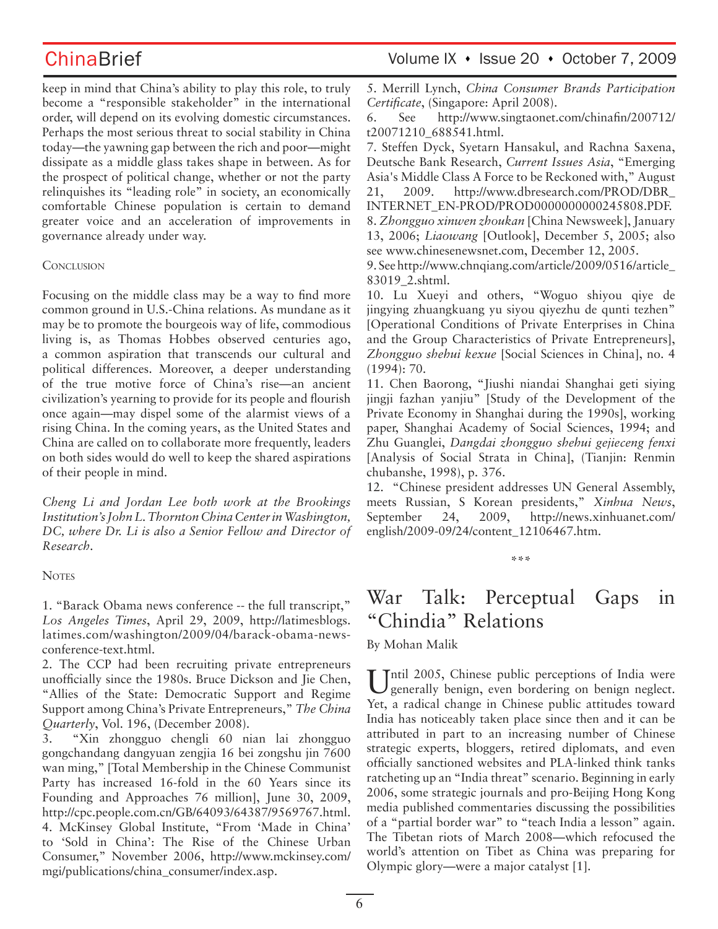keep in mind that China's ability to play this role, to truly become a "responsible stakeholder" in the international order, will depend on its evolving domestic circumstances. Perhaps the most serious threat to social stability in China today—the yawning gap between the rich and poor—might dissipate as a middle glass takes shape in between. As for the prospect of political change, whether or not the party relinquishes its "leading role" in society, an economically comfortable Chinese population is certain to demand greater voice and an acceleration of improvements in governance already under way.

### **CONCLUSION**

Focusing on the middle class may be a way to find more common ground in U.S.-China relations. As mundane as it may be to promote the bourgeois way of life, commodious living is, as Thomas Hobbes observed centuries ago, a common aspiration that transcends our cultural and political differences. Moreover, a deeper understanding of the true motive force of China's rise—an ancient civilization's yearning to provide for its people and flourish once again—may dispel some of the alarmist views of a rising China. In the coming years, as the United States and China are called on to collaborate more frequently, leaders on both sides would do well to keep the shared aspirations of their people in mind.

*Cheng Li and Jordan Lee both work at the Brookings Institution's John L. Thornton China Center in Washington, DC, where Dr. Li is also a Senior Fellow and Director of Research.*

### **NOTES**

1. "Barack Obama news conference -- the full transcript," *Los Angeles Times*, April 29, 2009, http://latimesblogs. latimes.com/washington/2009/04/barack-obama-newsconference-text.html.

2. The CCP had been recruiting private entrepreneurs unofficially since the 1980s. Bruce Dickson and Jie Chen, "Allies of the State: Democratic Support and Regime Support among China's Private Entrepreneurs," *The China Quarterly*, Vol. 196, (December 2008).

3. "Xin zhongguo chengli 60 nian lai zhongguo gongchandang dangyuan zengjia 16 bei zongshu jin 7600 wan ming," [Total Membership in the Chinese Communist Party has increased 16-fold in the 60 Years since its Founding and Approaches 76 million], June 30, 2009, http://cpc.people.com.cn/GB/64093/64387/9569767.html. 4. McKinsey Global Institute, "From 'Made in China' to 'Sold in China': The Rise of the Chinese Urban Consumer," November 2006, http://www.mckinsey.com/ mgi/publications/china\_consumer/index.asp.

5. Merrill Lynch, *China Consumer Brands Participation Certificate*, (Singapore: April 2008).

6. See http://www.singtaonet.com/chinafin/200712/ t20071210\_688541.html.

7. Steffen Dyck, Syetarn Hansakul, and Rachna Saxena, Deutsche Bank Research, *Current Issues Asia*, "Emerging Asia's Middle Class A Force to be Reckoned with," August 21, 2009. http://www.dbresearch.com/PROD/DBR\_ INTERNET\_EN-PROD/PROD0000000000245808.PDF. 8. *Zhongguo xinwen zhoukan* [China Newsweek], January 13, 2006; *Liaowang* [Outlook], December 5, 2005; also see www.chinesenewsnet.com, December 12, 2005.

9. See http://www.chnqiang.com/article/2009/0516/article\_ 83019\_2.shtml.

10. Lu Xueyi and others, "Woguo shiyou qiye de jingying zhuangkuang yu siyou qiyezhu de qunti tezhen" [Operational Conditions of Private Enterprises in China and the Group Characteristics of Private Entrepreneurs], *Zhongguo shehui kexue* [Social Sciences in China], no. 4 (1994): 70.

11. Chen Baorong, "Jiushi niandai Shanghai geti siying jingji fazhan yanjiu" [Study of the Development of the Private Economy in Shanghai during the 1990s], working paper, Shanghai Academy of Social Sciences, 1994; and Zhu Guanglei, *Dangdai zhongguo shehui gejieceng fenxi*  [Analysis of Social Strata in China], (Tianjin: Renmin chubanshe, 1998), p. 376.

12. "Chinese president addresses UN General Assembly, meets Russian, S Korean presidents," *Xinhua News*, September 24, 2009, http://news.xinhuanet.com/ english/2009-09/24/content\_12106467.htm.

### **\*\*\***

# War Talk: Perceptual Gaps in "Chindia" Relations

### By Mohan Malik

Intil 2005, Chinese public perceptions of India were generally benign, even bordering on benign neglect. Yet, a radical change in Chinese public attitudes toward India has noticeably taken place since then and it can be attributed in part to an increasing number of Chinese strategic experts, bloggers, retired diplomats, and even officially sanctioned websites and PLA-linked think tanks ratcheting up an "India threat" scenario. Beginning in early 2006, some strategic journals and pro-Beijing Hong Kong media published commentaries discussing the possibilities of a "partial border war" to "teach India a lesson" again. The Tibetan riots of March 2008—which refocused the world's attention on Tibet as China was preparing for Olympic glory—were a major catalyst [1].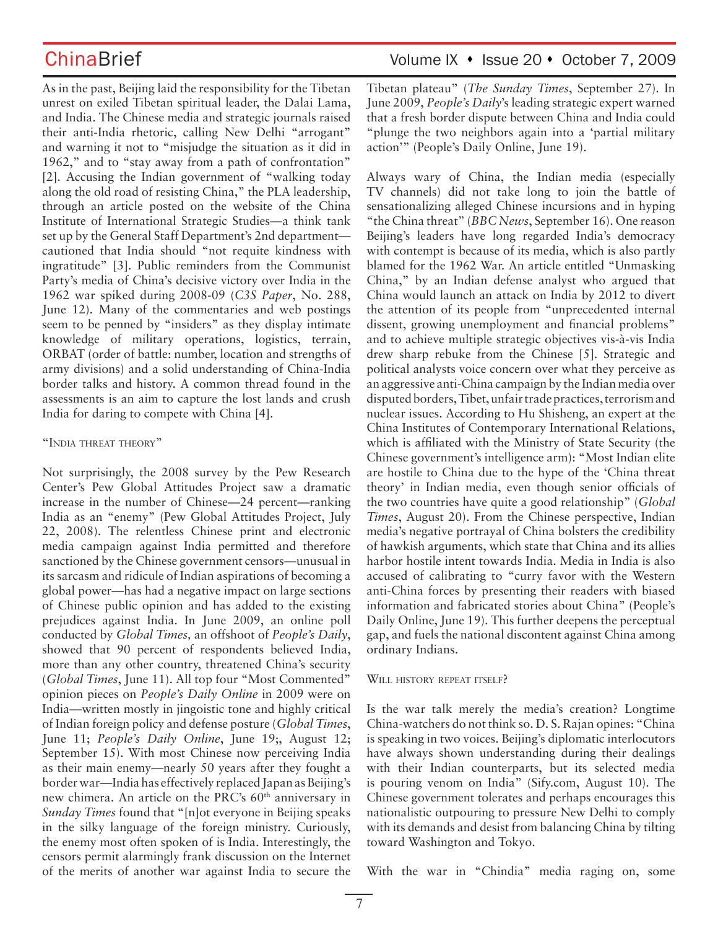As in the past, Beijing laid the responsibility for the Tibetan unrest on exiled Tibetan spiritual leader, the Dalai Lama, and India. The Chinese media and strategic journals raised their anti-India rhetoric, calling New Delhi "arrogant" and warning it not to "misjudge the situation as it did in 1962," and to "stay away from a path of confrontation" [2]. Accusing the Indian government of "walking today along the old road of resisting China," the PLA leadership, through an article posted on the website of the China Institute of International Strategic Studies—a think tank set up by the General Staff Department's 2nd department cautioned that India should "not requite kindness with ingratitude" [3]. Public reminders from the Communist Party's media of China's decisive victory over India in the 1962 war spiked during 2008-09 (*C3S Paper*, No. 288, June 12). Many of the commentaries and web postings seem to be penned by "insiders" as they display intimate knowledge of military operations, logistics, terrain, ORBAT (order of battle: number, location and strengths of army divisions) and a solid understanding of China-India border talks and history. A common thread found in the assessments is an aim to capture the lost lands and crush India for daring to compete with China [4].

### "INDIA THREAT THEORY"

Not surprisingly, the 2008 survey by the Pew Research Center's Pew Global Attitudes Project saw a dramatic increase in the number of Chinese—24 percent—ranking India as an "enemy" (Pew Global Attitudes Project, July 22, 2008). The relentless Chinese print and electronic media campaign against India permitted and therefore sanctioned by the Chinese government censors—unusual in its sarcasm and ridicule of Indian aspirations of becoming a global power—has had a negative impact on large sections of Chinese public opinion and has added to the existing prejudices against India. In June 2009, an online poll conducted by *Global Times,* an offshoot of *People's Daily*, showed that 90 percent of respondents believed India, more than any other country, threatened China's security (*Global Times*, June 11). All top four "Most Commented" opinion pieces on *People's Daily Online* in 2009 were on India—written mostly in jingoistic tone and highly critical of Indian foreign policy and defense posture (*Global Times*, June 11; *People's Daily Online*, June 19;, August 12; September 15). With most Chinese now perceiving India as their main enemy—nearly 50 years after they fought a border war—India has effectively replaced Japan as Beijing's new chimera. An article on the PRC's 60<sup>th</sup> anniversary in *Sunday Times* found that "[n]ot everyone in Beijing speaks in the silky language of the foreign ministry. Curiously, the enemy most often spoken of is India. Interestingly, the censors permit alarmingly frank discussion on the Internet of the merits of another war against India to secure the

# ChinaBrief Volume IX • Issue 20 • October 7, 2009

Tibetan plateau" (*The Sunday Times*, September 27). In June 2009, *People's Daily*'s leading strategic expert warned that a fresh border dispute between China and India could "plunge the two neighbors again into a 'partial military action'" (People's Daily Online, June 19).

Always wary of China, the Indian media (especially TV channels) did not take long to join the battle of sensationalizing alleged Chinese incursions and in hyping "the China threat" (*BBC News*, September 16). One reason Beijing's leaders have long regarded India's democracy with contempt is because of its media, which is also partly blamed for the 1962 War. An article entitled "Unmasking China," by an Indian defense analyst who argued that China would launch an attack on India by 2012 to divert the attention of its people from "unprecedented internal dissent, growing unemployment and financial problems" and to achieve multiple strategic objectives vis-à-vis India drew sharp rebuke from the Chinese [5]. Strategic and political analysts voice concern over what they perceive as an aggressive anti-China campaign by the Indian media over disputed borders, Tibet, unfair trade practices, terrorism and nuclear issues. According to Hu Shisheng, an expert at the China Institutes of Contemporary International Relations, which is affiliated with the Ministry of State Security (the Chinese government's intelligence arm): "Most Indian elite are hostile to China due to the hype of the 'China threat theory' in Indian media, even though senior officials of the two countries have quite a good relationship" (*Global Times*, August 20). From the Chinese perspective, Indian media's negative portrayal of China bolsters the credibility of hawkish arguments, which state that China and its allies harbor hostile intent towards India. Media in India is also accused of calibrating to "curry favor with the Western anti-China forces by presenting their readers with biased information and fabricated stories about China" (People's Daily Online, June 19). This further deepens the perceptual gap, and fuels the national discontent against China among ordinary Indians.

### WILL HISTORY REPEAT ITSELF?

Is the war talk merely the media's creation? Longtime China-watchers do not think so. D. S. Rajan opines: "China is speaking in two voices. Beijing's diplomatic interlocutors have always shown understanding during their dealings with their Indian counterparts, but its selected media is pouring venom on India" (Sify.com, August 10). The Chinese government tolerates and perhaps encourages this nationalistic outpouring to pressure New Delhi to comply with its demands and desist from balancing China by tilting toward Washington and Tokyo.

With the war in "Chindia" media raging on, some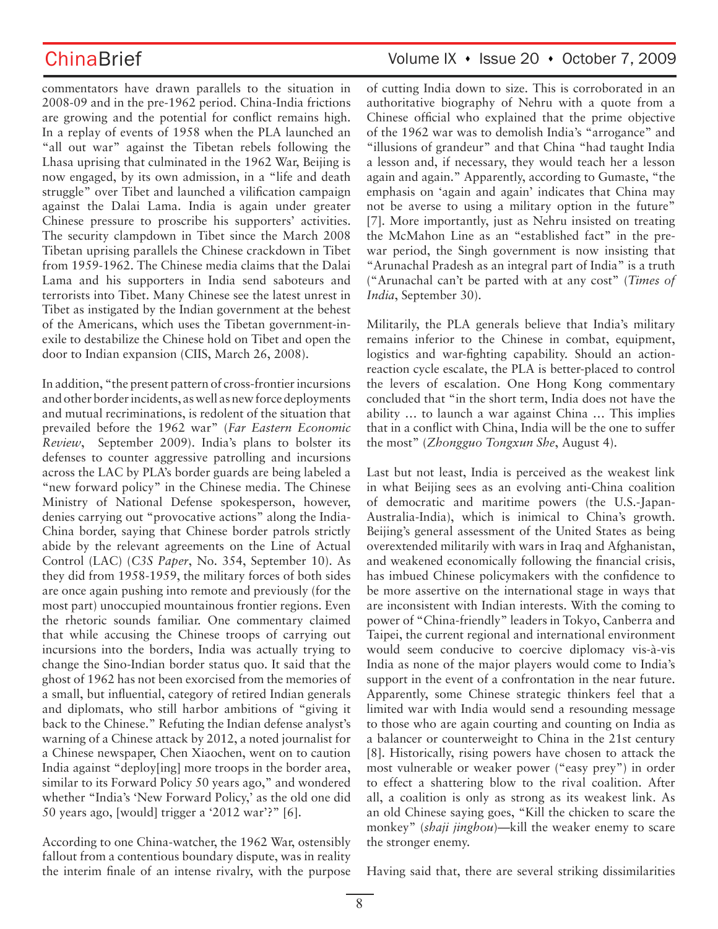commentators have drawn parallels to the situation in 2008-09 and in the pre-1962 period. China-India frictions are growing and the potential for conflict remains high. In a replay of events of 1958 when the PLA launched an "all out war" against the Tibetan rebels following the Lhasa uprising that culminated in the 1962 War, Beijing is now engaged, by its own admission, in a "life and death struggle" over Tibet and launched a vilification campaign against the Dalai Lama. India is again under greater Chinese pressure to proscribe his supporters' activities. The security clampdown in Tibet since the March 2008 Tibetan uprising parallels the Chinese crackdown in Tibet from 1959-1962. The Chinese media claims that the Dalai Lama and his supporters in India send saboteurs and terrorists into Tibet. Many Chinese see the latest unrest in Tibet as instigated by the Indian government at the behest of the Americans, which uses the Tibetan government-inexile to destabilize the Chinese hold on Tibet and open the door to Indian expansion (CIIS, March 26, 2008).

In addition, "the present pattern of cross-frontier incursions and other border incidents, as well as new force deployments and mutual recriminations, is redolent of the situation that prevailed before the 1962 war" (*Far Eastern Economic Review*, September 2009). India's plans to bolster its defenses to counter aggressive patrolling and incursions across the LAC by PLA's border guards are being labeled a "new forward policy" in the Chinese media. The Chinese Ministry of National Defense spokesperson, however, denies carrying out "provocative actions" along the India-China border, saying that Chinese border patrols strictly abide by the relevant agreements on the Line of Actual Control (LAC) (*C3S Paper*, No. 354, September 10). As they did from 1958-1959, the military forces of both sides are once again pushing into remote and previously (for the most part) unoccupied mountainous frontier regions. Even the rhetoric sounds familiar. One commentary claimed that while accusing the Chinese troops of carrying out incursions into the borders, India was actually trying to change the Sino-Indian border status quo. It said that the ghost of 1962 has not been exorcised from the memories of a small, but influential, category of retired Indian generals and diplomats, who still harbor ambitions of "giving it back to the Chinese." Refuting the Indian defense analyst's warning of a Chinese attack by 2012, a noted journalist for a Chinese newspaper, Chen Xiaochen, went on to caution India against "deploy[ing] more troops in the border area, similar to its Forward Policy 50 years ago," and wondered whether "India's 'New Forward Policy,' as the old one did 50 years ago, [would] trigger a '2012 war'?" [6].

According to one China-watcher, the 1962 War, ostensibly fallout from a contentious boundary dispute, was in reality the interim finale of an intense rivalry, with the purpose

## ChinaBrief Volume IX • Issue 20 • October 7, 2009

of cutting India down to size. This is corroborated in an authoritative biography of Nehru with a quote from a Chinese official who explained that the prime objective of the 1962 war was to demolish India's "arrogance" and "illusions of grandeur" and that China "had taught India a lesson and, if necessary, they would teach her a lesson again and again." Apparently, according to Gumaste, "the emphasis on 'again and again' indicates that China may not be averse to using a military option in the future" [7]. More importantly, just as Nehru insisted on treating the McMahon Line as an "established fact" in the prewar period, the Singh government is now insisting that "Arunachal Pradesh as an integral part of India" is a truth ("Arunachal can't be parted with at any cost" (*Times of India*, September 30).

Militarily, the PLA generals believe that India's military remains inferior to the Chinese in combat, equipment, logistics and war-fighting capability. Should an actionreaction cycle escalate, the PLA is better-placed to control the levers of escalation. One Hong Kong commentary concluded that "in the short term, India does not have the ability … to launch a war against China … This implies that in a conflict with China, India will be the one to suffer the most" (*Zhongguo Tongxun She*, August 4).

Last but not least, India is perceived as the weakest link in what Beijing sees as an evolving anti-China coalition of democratic and maritime powers (the U.S.-Japan-Australia-India), which is inimical to China's growth. Beijing's general assessment of the United States as being overextended militarily with wars in Iraq and Afghanistan, and weakened economically following the financial crisis, has imbued Chinese policymakers with the confidence to be more assertive on the international stage in ways that are inconsistent with Indian interests. With the coming to power of "China-friendly" leaders in Tokyo, Canberra and Taipei, the current regional and international environment would seem conducive to coercive diplomacy vis-à-vis India as none of the major players would come to India's support in the event of a confrontation in the near future. Apparently, some Chinese strategic thinkers feel that a limited war with India would send a resounding message to those who are again courting and counting on India as a balancer or counterweight to China in the 21st century [8]. Historically, rising powers have chosen to attack the most vulnerable or weaker power ("easy prey") in order to effect a shattering blow to the rival coalition. After all, a coalition is only as strong as its weakest link. As an old Chinese saying goes, "Kill the chicken to scare the monkey" (*shaji jinghou*)—kill the weaker enemy to scare the stronger enemy.

Having said that, there are several striking dissimilarities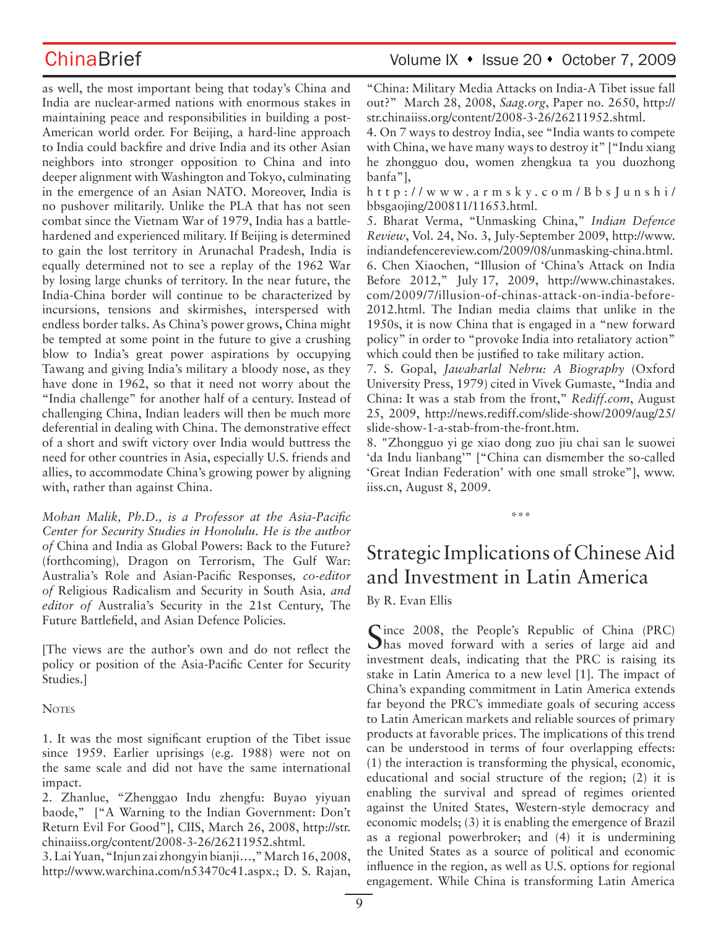as well, the most important being that today's China and India are nuclear-armed nations with enormous stakes in maintaining peace and responsibilities in building a post-American world order. For Beijing, a hard-line approach to India could backfire and drive India and its other Asian neighbors into stronger opposition to China and into deeper alignment with Washington and Tokyo, culminating in the emergence of an Asian NATO. Moreover, India is no pushover militarily. Unlike the PLA that has not seen combat since the Vietnam War of 1979, India has a battlehardened and experienced military. If Beijing is determined to gain the lost territory in Arunachal Pradesh, India is equally determined not to see a replay of the 1962 War by losing large chunks of territory. In the near future, the India-China border will continue to be characterized by incursions, tensions and skirmishes, interspersed with endless border talks. As China's power grows**,** China might be tempted at some point in the future to give a crushing blow to India's great power aspirations by occupying Tawang and giving India's military a bloody nose, as they have done in 1962, so that it need not worry about the "India challenge" for another half of a century. Instead of challenging China, Indian leaders will then be much more deferential in dealing with China. The demonstrative effect of a short and swift victory over India would buttress the need for other countries in Asia, especially U.S. friends and allies, to accommodate China's growing power by aligning with, rather than against China.

*Mohan Malik, Ph.D., is a Professor at the Asia-Pacific Center for Security Studies in Honolulu. He is the author of* China and India as Global Powers: Back to the Future? (forthcoming)*,* Dragon on Terrorism, The Gulf War: Australia's Role and Asian-Pacific Responses*, co-editor of* Religious Radicalism and Security in South Asia*, and editor of* Australia's Security in the 21st Century, The Future Battlefield, and Asian Defence Policies*.*

[The views are the author's own and do not reflect the policy or position of the Asia-Pacific Center for Security Studies.]

**NOTES** 

1. It was the most significant eruption of the Tibet issue since 1959. Earlier uprisings (e.g. 1988) were not on the same scale and did not have the same international impact.

2. Zhanlue, "Zhenggao Indu zhengfu: Buyao yiyuan baode," ["A Warning to the Indian Government: Don't Return Evil For Good"], CIIS, March 26, 2008, http://str. chinaiiss.org/content/2008-3-26/26211952.shtml.

3. Lai Yuan, "Injun zai zhongyin bianji…," March 16, 2008, http://www.warchina.com/n53470c41.aspx.; D. S. Rajan, "China: Military Media Attacks on India-A Tibet issue fall out?" March 28, 2008, *Saag.org*, Paper no. 2650, http:// str.chinaiiss.org/content/2008-3-26/26211952.shtml.

4. On 7 ways to destroy India, see "India wants to compete with China, we have many ways to destroy it" ["Indu xiang he zhongguo dou, women zhengkua ta you duozhong banfa"],

h t t p : / / w w w . a r m s k y . c o m / B b s J u n s h i / bbsgaojing/200811/11653.html.

5. Bharat Verma, "Unmasking China," *Indian Defence Review*, Vol. 24, No. 3, July-September 2009, http://www. indiandefencereview.com/2009/08/unmasking-china.html. 6. Chen Xiaochen, "Illusion of 'China's Attack on India Before 2012," July 17, 2009, http://www.chinastakes. com/2009/7/illusion-of-chinas-attack-on-india-before-2012.html. The Indian media claims that unlike in the 1950s, it is now China that is engaged in a "new forward policy" in order to "provoke India into retaliatory action" which could then be justified to take military action.

7. S. Gopal, *Jawaharlal Nehru: A Biography* (Oxford University Press, 1979) cited in Vivek Gumaste, "India and China: It was a stab from the front," *Rediff.com*, August 25, 2009, http://news.rediff.com/slide-show/2009/aug/25/ slide-show-1-a-stab-from-the-front.htm.

8. "Zhongguo yi ge xiao dong zuo jiu chai san le suowei 'da Indu lianbang'" ["China can dismember the so-called 'Great Indian Federation' with one small stroke"], www. iiss.cn, August 8, 2009.

\*\*\*

# Strategic Implications of Chinese Aid and Investment in Latin America

By R. Evan Ellis

Since 2008, the People's Republic of China (PRC) Thas moved forward with a series of large aid and investment deals, indicating that the PRC is raising its stake in Latin America to a new level [1]. The impact of China's expanding commitment in Latin America extends far beyond the PRC's immediate goals of securing access to Latin American markets and reliable sources of primary products at favorable prices. The implications of this trend can be understood in terms of four overlapping effects: (1) the interaction is transforming the physical, economic, educational and social structure of the region; (2) it is enabling the survival and spread of regimes oriented against the United States, Western-style democracy and economic models; (3) it is enabling the emergence of Brazil as a regional powerbroker; and (4) it is undermining the United States as a source of political and economic influence in the region, as well as U.S. options for regional engagement. While China is transforming Latin America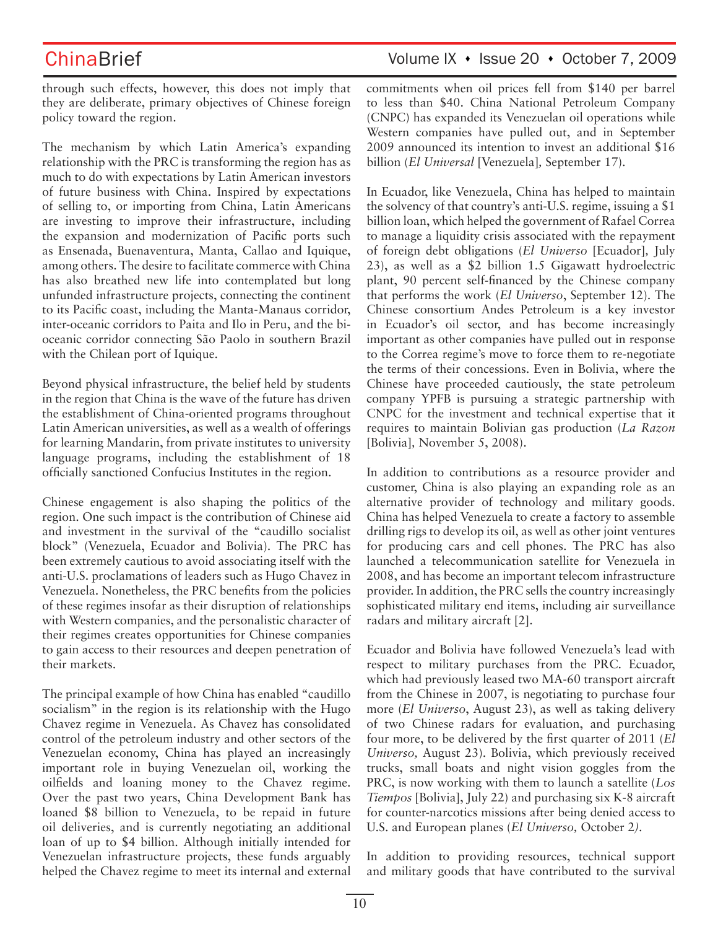through such effects, however, this does not imply that they are deliberate, primary objectives of Chinese foreign policy toward the region.

The mechanism by which Latin America's expanding relationship with the PRC is transforming the region has as much to do with expectations by Latin American investors of future business with China. Inspired by expectations of selling to, or importing from China, Latin Americans are investing to improve their infrastructure, including the expansion and modernization of Pacific ports such as Ensenada, Buenaventura, Manta, Callao and Iquique, among others. The desire to facilitate commerce with China has also breathed new life into contemplated but long unfunded infrastructure projects, connecting the continent to its Pacific coast, including the Manta-Manaus corridor, inter-oceanic corridors to Paita and Ilo in Peru, and the bioceanic corridor connecting São Paolo in southern Brazil with the Chilean port of Iquique.

Beyond physical infrastructure, the belief held by students in the region that China is the wave of the future has driven the establishment of China-oriented programs throughout Latin American universities, as well as a wealth of offerings for learning Mandarin, from private institutes to university language programs, including the establishment of 18 officially sanctioned Confucius Institutes in the region.

Chinese engagement is also shaping the politics of the region. One such impact is the contribution of Chinese aid and investment in the survival of the "caudillo socialist block" (Venezuela, Ecuador and Bolivia). The PRC has been extremely cautious to avoid associating itself with the anti-U.S. proclamations of leaders such as Hugo Chavez in Venezuela. Nonetheless, the PRC benefits from the policies of these regimes insofar as their disruption of relationships with Western companies, and the personalistic character of their regimes creates opportunities for Chinese companies to gain access to their resources and deepen penetration of their markets.

The principal example of how China has enabled "caudillo socialism" in the region is its relationship with the Hugo Chavez regime in Venezuela. As Chavez has consolidated control of the petroleum industry and other sectors of the Venezuelan economy, China has played an increasingly important role in buying Venezuelan oil, working the oilfields and loaning money to the Chavez regime. Over the past two years, China Development Bank has loaned \$8 billion to Venezuela, to be repaid in future oil deliveries, and is currently negotiating an additional loan of up to \$4 billion. Although initially intended for Venezuelan infrastructure projects, these funds arguably helped the Chavez regime to meet its internal and external

## ChinaBrief Volume IX • Issue 20 • October 7, 2009

commitments when oil prices fell from \$140 per barrel to less than \$40. China National Petroleum Company (CNPC) has expanded its Venezuelan oil operations while Western companies have pulled out, and in September 2009 announced its intention to invest an additional \$16 billion (*El Universal* [Venezuela]*,* September 17).

In Ecuador, like Venezuela, China has helped to maintain the solvency of that country's anti-U.S. regime, issuing a \$1 billion loan, which helped the government of Rafael Correa to manage a liquidity crisis associated with the repayment of foreign debt obligations (*El Universo* [Ecuador]*,* July 23), as well as a \$2 billion 1.5 Gigawatt hydroelectric plant, 90 percent self-financed by the Chinese company that performs the work (*El Universo*, September 12). The Chinese consortium Andes Petroleum is a key investor in Ecuador's oil sector, and has become increasingly important as other companies have pulled out in response to the Correa regime's move to force them to re-negotiate the terms of their concessions. Even in Bolivia, where the Chinese have proceeded cautiously, the state petroleum company YPFB is pursuing a strategic partnership with CNPC for the investment and technical expertise that it requires to maintain Bolivian gas production (*La Razon*  [Bolivia]*,* November 5, 2008).

In addition to contributions as a resource provider and customer, China is also playing an expanding role as an alternative provider of technology and military goods. China has helped Venezuela to create a factory to assemble drilling rigs to develop its oil, as well as other joint ventures for producing cars and cell phones. The PRC has also launched a telecommunication satellite for Venezuela in 2008, and has become an important telecom infrastructure provider. In addition, the PRC sells the country increasingly sophisticated military end items, including air surveillance radars and military aircraft [2].

Ecuador and Bolivia have followed Venezuela's lead with respect to military purchases from the PRC. Ecuador, which had previously leased two MA-60 transport aircraft from the Chinese in 2007, is negotiating to purchase four more (*El Universo*, August 23), as well as taking delivery of two Chinese radars for evaluation, and purchasing four more, to be delivered by the first quarter of 2011 (*El Universo,* August 23). Bolivia, which previously received trucks, small boats and night vision goggles from the PRC, is now working with them to launch a satellite (*Los Tiempos* [Bolivia], July 22) and purchasing six K-8 aircraft for counter-narcotics missions after being denied access to U.S. and European planes (*El Universo,* October 2*)*.

In addition to providing resources, technical support and military goods that have contributed to the survival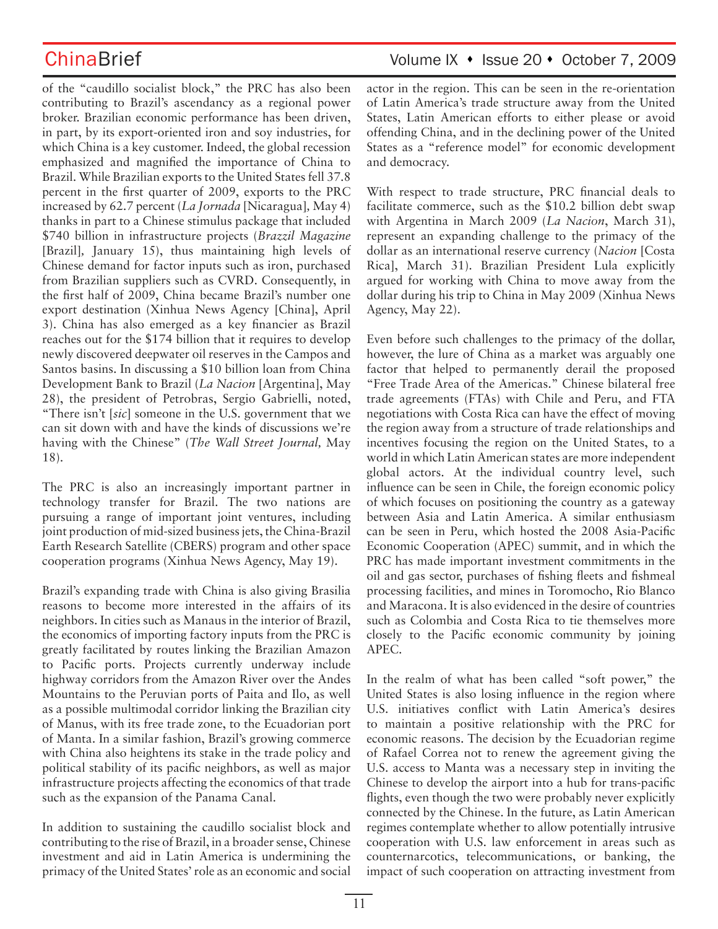of the "caudillo socialist block," the PRC has also been contributing to Brazil's ascendancy as a regional power broker. Brazilian economic performance has been driven, in part, by its export-oriented iron and soy industries, for which China is a key customer. Indeed, the global recession emphasized and magnified the importance of China to Brazil. While Brazilian exports to the United States fell 37.8 percent in the first quarter of 2009, exports to the PRC increased by 62.7 percent (*La Jornada* [Nicaragua]*,* May 4) thanks in part to a Chinese stimulus package that included \$740 billion in infrastructure projects (*Brazzil Magazine* [Brazil]*,* January 15), thus maintaining high levels of Chinese demand for factor inputs such as iron, purchased from Brazilian suppliers such as CVRD. Consequently, in the first half of 2009, China became Brazil's number one export destination (Xinhua News Agency [China], April 3). China has also emerged as a key financier as Brazil reaches out for the \$174 billion that it requires to develop newly discovered deepwater oil reserves in the Campos and Santos basins. In discussing a \$10 billion loan from China Development Bank to Brazil (*La Nacion* [Argentina], May 28), the president of Petrobras, Sergio Gabrielli, noted, "There isn't [*sic*] someone in the U.S. government that we can sit down with and have the kinds of discussions we're having with the Chinese" (*The Wall Street Journal,* May 18).

The PRC is also an increasingly important partner in technology transfer for Brazil. The two nations are pursuing a range of important joint ventures, including joint production of mid-sized business jets, the China-Brazil Earth Research Satellite (CBERS) program and other space cooperation programs (Xinhua News Agency, May 19).

Brazil's expanding trade with China is also giving Brasilia reasons to become more interested in the affairs of its neighbors. In cities such as Manaus in the interior of Brazil, the economics of importing factory inputs from the PRC is greatly facilitated by routes linking the Brazilian Amazon to Pacific ports. Projects currently underway include highway corridors from the Amazon River over the Andes Mountains to the Peruvian ports of Paita and Ilo, as well as a possible multimodal corridor linking the Brazilian city of Manus, with its free trade zone, to the Ecuadorian port of Manta. In a similar fashion, Brazil's growing commerce with China also heightens its stake in the trade policy and political stability of its pacific neighbors, as well as major infrastructure projects affecting the economics of that trade such as the expansion of the Panama Canal.

In addition to sustaining the caudillo socialist block and contributing to the rise of Brazil, in a broader sense, Chinese investment and aid in Latin America is undermining the primacy of the United States' role as an economic and social

# ChinaBrief Volume IX • Issue 20 • October 7, 2009

actor in the region. This can be seen in the re-orientation of Latin America's trade structure away from the United States, Latin American efforts to either please or avoid offending China, and in the declining power of the United States as a "reference model" for economic development and democracy.

With respect to trade structure, PRC financial deals to facilitate commerce, such as the \$10.2 billion debt swap with Argentina in March 2009 (*La Nacion*, March 31), represent an expanding challenge to the primacy of the dollar as an international reserve currency (*Nacion* [Costa Rica], March 31). Brazilian President Lula explicitly argued for working with China to move away from the dollar during his trip to China in May 2009 (Xinhua News Agency, May 22).

Even before such challenges to the primacy of the dollar, however, the lure of China as a market was arguably one factor that helped to permanently derail the proposed "Free Trade Area of the Americas." Chinese bilateral free trade agreements (FTAs) with Chile and Peru, and FTA negotiations with Costa Rica can have the effect of moving the region away from a structure of trade relationships and incentives focusing the region on the United States, to a world in which Latin American states are more independent global actors. At the individual country level, such influence can be seen in Chile, the foreign economic policy of which focuses on positioning the country as a gateway between Asia and Latin America. A similar enthusiasm can be seen in Peru, which hosted the 2008 Asia-Pacific Economic Cooperation (APEC) summit, and in which the PRC has made important investment commitments in the oil and gas sector, purchases of fishing fleets and fishmeal processing facilities, and mines in Toromocho, Rio Blanco and Maracona. It is also evidenced in the desire of countries such as Colombia and Costa Rica to tie themselves more closely to the Pacific economic community by joining APEC.

In the realm of what has been called "soft power," the United States is also losing influence in the region where U.S. initiatives conflict with Latin America's desires to maintain a positive relationship with the PRC for economic reasons. The decision by the Ecuadorian regime of Rafael Correa not to renew the agreement giving the U.S. access to Manta was a necessary step in inviting the Chinese to develop the airport into a hub for trans-pacific flights, even though the two were probably never explicitly connected by the Chinese. In the future, as Latin American regimes contemplate whether to allow potentially intrusive cooperation with U.S. law enforcement in areas such as counternarcotics, telecommunications, or banking, the impact of such cooperation on attracting investment from